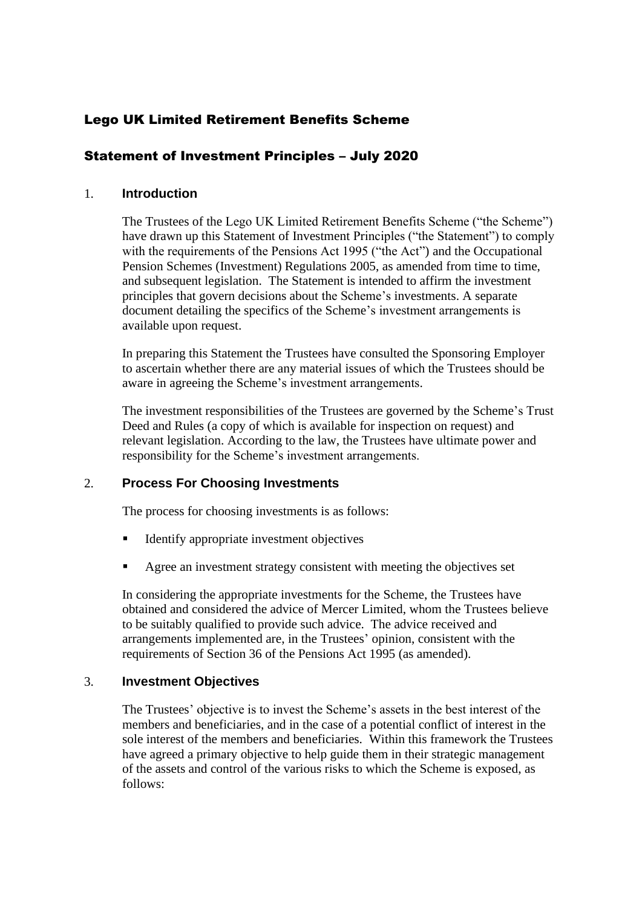# Lego UK Limited Retirement Benefits Scheme

# Statement of Investment Principles – July 2020

# 1. **Introduction**

The Trustees of the Lego UK Limited Retirement Benefits Scheme ("the Scheme") have drawn up this Statement of Investment Principles ("the Statement") to comply with the requirements of the Pensions Act 1995 ("the Act") and the Occupational Pension Schemes (Investment) Regulations 2005, as amended from time to time, and subsequent legislation. The Statement is intended to affirm the investment principles that govern decisions about the Scheme's investments. A separate document detailing the specifics of the Scheme's investment arrangements is available upon request.

In preparing this Statement the Trustees have consulted the Sponsoring Employer to ascertain whether there are any material issues of which the Trustees should be aware in agreeing the Scheme's investment arrangements.

The investment responsibilities of the Trustees are governed by the Scheme's Trust Deed and Rules (a copy of which is available for inspection on request) and relevant legislation. According to the law, the Trustees have ultimate power and responsibility for the Scheme's investment arrangements.

# 2. **Process For Choosing Investments**

The process for choosing investments is as follows:

- **EXECUTE:** Identify appropriate investment objectives
- Agree an investment strategy consistent with meeting the objectives set

In considering the appropriate investments for the Scheme, the Trustees have obtained and considered the advice of Mercer Limited, whom the Trustees believe to be suitably qualified to provide such advice. The advice received and arrangements implemented are, in the Trustees' opinion, consistent with the requirements of Section 36 of the Pensions Act 1995 (as amended).

## 3. **Investment Objectives**

The Trustees' objective is to invest the Scheme's assets in the best interest of the members and beneficiaries, and in the case of a potential conflict of interest in the sole interest of the members and beneficiaries. Within this framework the Trustees have agreed a primary objective to help guide them in their strategic management of the assets and control of the various risks to which the Scheme is exposed, as follows: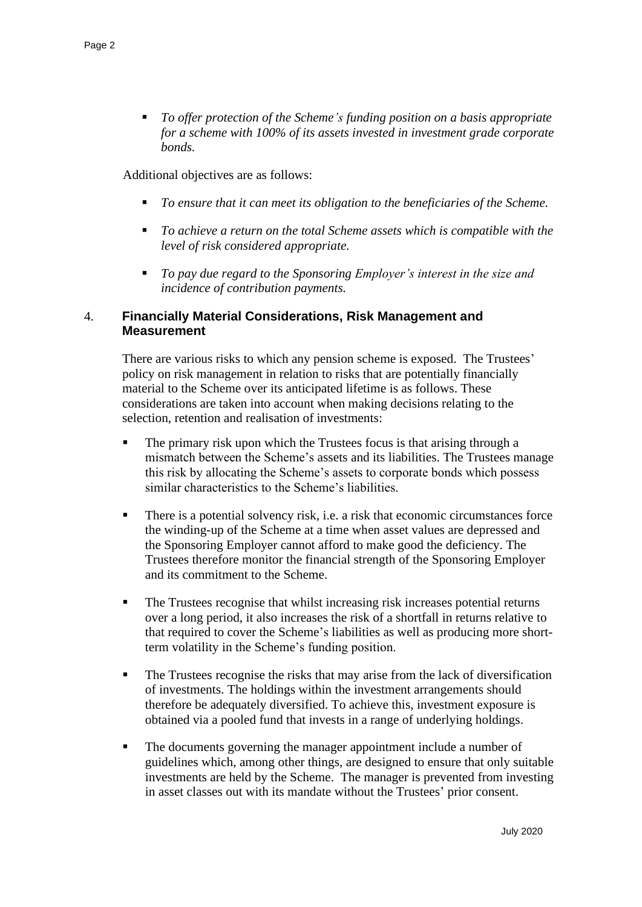▪ *To offer protection of the Scheme's funding position on a basis appropriate for a scheme with 100% of its assets invested in investment grade corporate bonds.*

Additional objectives are as follows:

- *To ensure that it can meet its obligation to the beneficiaries of the Scheme.*
- *To achieve a return on the total Scheme assets which is compatible with the level of risk considered appropriate.*
- *To pay due regard to the Sponsoring Employer's interest in the size and incidence of contribution payments.*

# 4. **Financially Material Considerations, Risk Management and Measurement**

There are various risks to which any pension scheme is exposed. The Trustees' policy on risk management in relation to risks that are potentially financially material to the Scheme over its anticipated lifetime is as follows. These considerations are taken into account when making decisions relating to the selection, retention and realisation of investments:

- The primary risk upon which the Trustees focus is that arising through a mismatch between the Scheme's assets and its liabilities. The Trustees manage this risk by allocating the Scheme's assets to corporate bonds which possess similar characteristics to the Scheme's liabilities.
- There is a potential solvency risk, i.e. a risk that economic circumstances force the winding-up of the Scheme at a time when asset values are depressed and the Sponsoring Employer cannot afford to make good the deficiency. The Trustees therefore monitor the financial strength of the Sponsoring Employer and its commitment to the Scheme.
- The Trustees recognise that whilst increasing risk increases potential returns over a long period, it also increases the risk of a shortfall in returns relative to that required to cover the Scheme's liabilities as well as producing more shortterm volatility in the Scheme's funding position.
- The Trustees recognise the risks that may arise from the lack of diversification of investments. The holdings within the investment arrangements should therefore be adequately diversified. To achieve this, investment exposure is obtained via a pooled fund that invests in a range of underlying holdings.
- The documents governing the manager appointment include a number of guidelines which, among other things, are designed to ensure that only suitable investments are held by the Scheme. The manager is prevented from investing in asset classes out with its mandate without the Trustees' prior consent.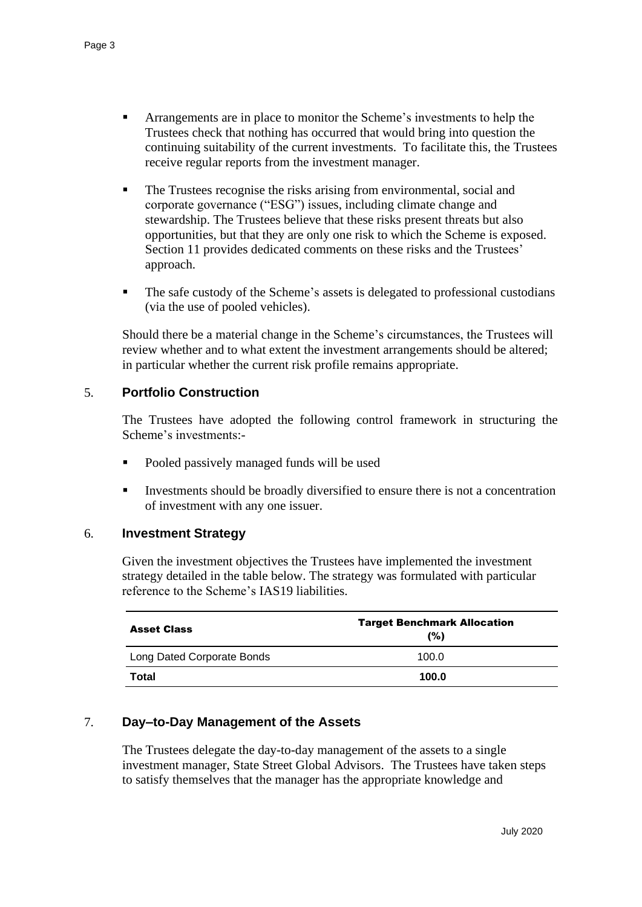- Arrangements are in place to monitor the Scheme's investments to help the Trustees check that nothing has occurred that would bring into question the continuing suitability of the current investments. To facilitate this, the Trustees receive regular reports from the investment manager.
- The Trustees recognise the risks arising from environmental, social and corporate governance ("ESG") issues, including climate change and stewardship. The Trustees believe that these risks present threats but also opportunities, but that they are only one risk to which the Scheme is exposed. Section 11 provides dedicated comments on these risks and the Trustees' approach.
- The safe custody of the Scheme's assets is delegated to professional custodians (via the use of pooled vehicles).

Should there be a material change in the Scheme's circumstances, the Trustees will review whether and to what extent the investment arrangements should be altered; in particular whether the current risk profile remains appropriate.

# 5. **Portfolio Construction**

The Trustees have adopted the following control framework in structuring the Scheme's investments:-

- Pooled passively managed funds will be used
- Investments should be broadly diversified to ensure there is not a concentration of investment with any one issuer.

## 6. **Investment Strategy**

Given the investment objectives the Trustees have implemented the investment strategy detailed in the table below. The strategy was formulated with particular reference to the Scheme's IAS19 liabilities.

| <b>Asset Class</b>         | <b>Target Benchmark Allocation</b><br>(%) |
|----------------------------|-------------------------------------------|
| Long Dated Corporate Bonds | 100.0                                     |
| Total                      | 100.0                                     |

## 7. **Day–to-Day Management of the Assets**

The Trustees delegate the day-to-day management of the assets to a single investment manager, State Street Global Advisors. The Trustees have taken steps to satisfy themselves that the manager has the appropriate knowledge and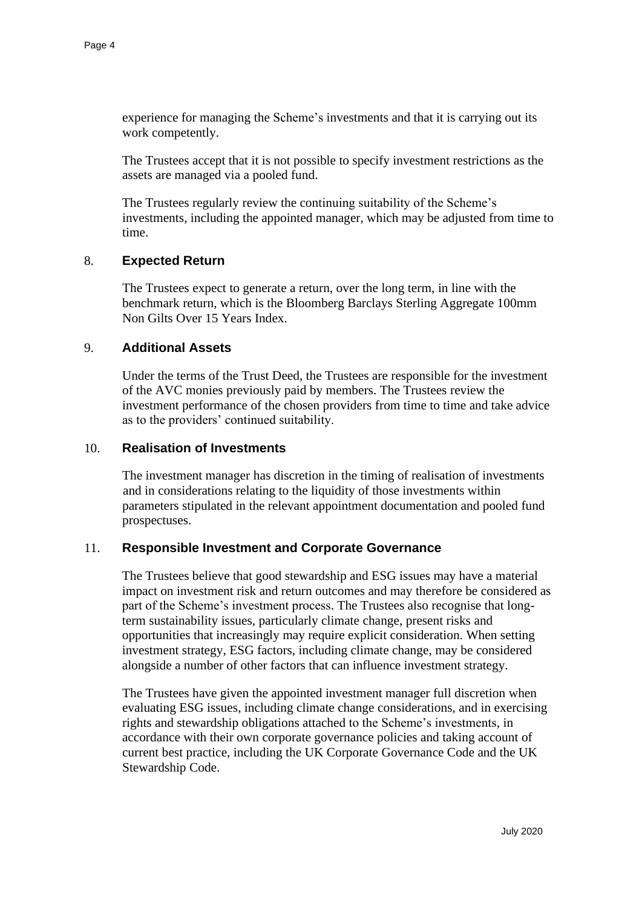experience for managing the Scheme's investments and that it is carrying out its work competently.

The Trustees accept that it is not possible to specify investment restrictions as the assets are managed via a pooled fund.

The Trustees regularly review the continuing suitability of the Scheme's investments, including the appointed manager, which may be adjusted from time to time.

#### 8. **Expected Return**

The Trustees expect to generate a return, over the long term, in line with the benchmark return, which is the Bloomberg Barclays Sterling Aggregate 100mm Non Gilts Over 15 Years Index.

#### 9. **Additional Assets**

Under the terms of the Trust Deed, the Trustees are responsible for the investment of the AVC monies previously paid by members. The Trustees review the investment performance of the chosen providers from time to time and take advice as to the providers' continued suitability.

#### 10. **Realisation of Investments**

The investment manager has discretion in the timing of realisation of investments and in considerations relating to the liquidity of those investments within parameters stipulated in the relevant appointment documentation and pooled fund prospectuses.

## 11. **Responsible Investment and Corporate Governance**

The Trustees believe that good stewardship and ESG issues may have a material impact on investment risk and return outcomes and may therefore be considered as part of the Scheme's investment process. The Trustees also recognise that longterm sustainability issues, particularly climate change, present risks and opportunities that increasingly may require explicit consideration. When setting investment strategy, ESG factors, including climate change, may be considered alongside a number of other factors that can influence investment strategy.

The Trustees have given the appointed investment manager full discretion when evaluating ESG issues, including climate change considerations, and in exercising rights and stewardship obligations attached to the Scheme's investments, in accordance with their own corporate governance policies and taking account of current best practice, including the UK Corporate Governance Code and the UK Stewardship Code.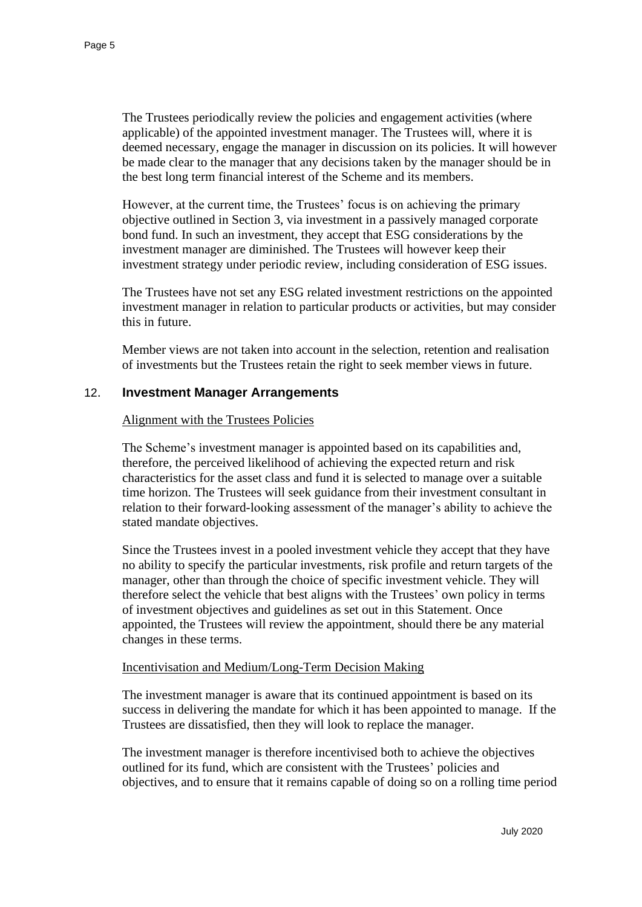The Trustees periodically review the policies and engagement activities (where applicable) of the appointed investment manager. The Trustees will, where it is deemed necessary, engage the manager in discussion on its policies. It will however be made clear to the manager that any decisions taken by the manager should be in the best long term financial interest of the Scheme and its members.

However, at the current time, the Trustees' focus is on achieving the primary objective outlined in Section 3, via investment in a passively managed corporate bond fund. In such an investment, they accept that ESG considerations by the investment manager are diminished. The Trustees will however keep their investment strategy under periodic review, including consideration of ESG issues.

The Trustees have not set any ESG related investment restrictions on the appointed investment manager in relation to particular products or activities, but may consider this in future.

Member views are not taken into account in the selection, retention and realisation of investments but the Trustees retain the right to seek member views in future.

# 12. **Investment Manager Arrangements**

## Alignment with the Trustees Policies

The Scheme's investment manager is appointed based on its capabilities and, therefore, the perceived likelihood of achieving the expected return and risk characteristics for the asset class and fund it is selected to manage over a suitable time horizon. The Trustees will seek guidance from their investment consultant in relation to their forward-looking assessment of the manager's ability to achieve the stated mandate objectives.

Since the Trustees invest in a pooled investment vehicle they accept that they have no ability to specify the particular investments, risk profile and return targets of the manager, other than through the choice of specific investment vehicle. They will therefore select the vehicle that best aligns with the Trustees' own policy in terms of investment objectives and guidelines as set out in this Statement. Once appointed, the Trustees will review the appointment, should there be any material changes in these terms.

#### Incentivisation and Medium/Long-Term Decision Making

The investment manager is aware that its continued appointment is based on its success in delivering the mandate for which it has been appointed to manage. If the Trustees are dissatisfied, then they will look to replace the manager.

The investment manager is therefore incentivised both to achieve the objectives outlined for its fund, which are consistent with the Trustees' policies and objectives, and to ensure that it remains capable of doing so on a rolling time period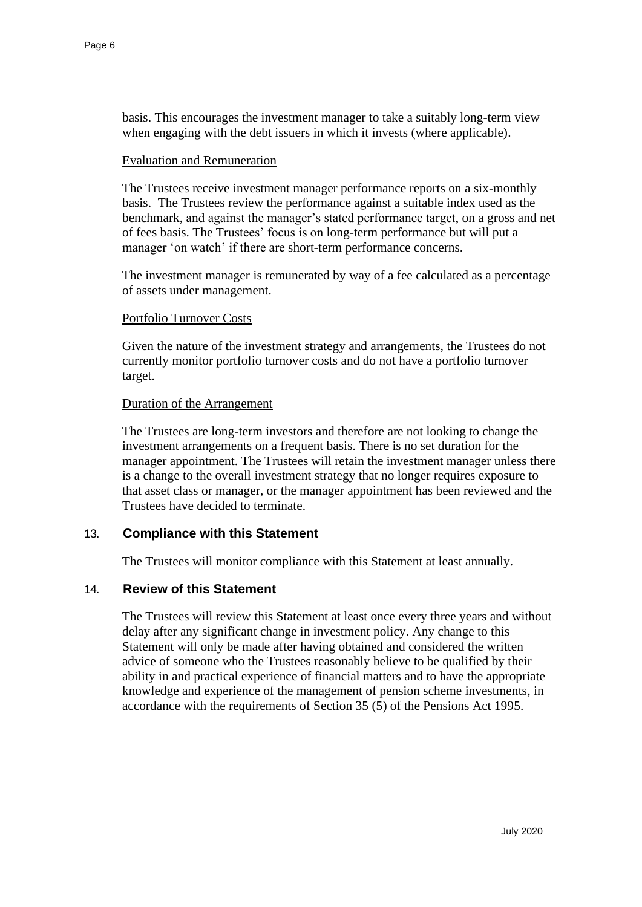basis. This encourages the investment manager to take a suitably long-term view when engaging with the debt issuers in which it invests (where applicable).

#### Evaluation and Remuneration

The Trustees receive investment manager performance reports on a six-monthly basis. The Trustees review the performance against a suitable index used as the benchmark, and against the manager's stated performance target, on a gross and net of fees basis. The Trustees' focus is on long-term performance but will put a manager 'on watch' if there are short-term performance concerns.

The investment manager is remunerated by way of a fee calculated as a percentage of assets under management.

#### Portfolio Turnover Costs

Given the nature of the investment strategy and arrangements, the Trustees do not currently monitor portfolio turnover costs and do not have a portfolio turnover target.

#### Duration of the Arrangement

The Trustees are long-term investors and therefore are not looking to change the investment arrangements on a frequent basis. There is no set duration for the manager appointment. The Trustees will retain the investment manager unless there is a change to the overall investment strategy that no longer requires exposure to that asset class or manager, or the manager appointment has been reviewed and the Trustees have decided to terminate.

## 13. **Compliance with this Statement**

The Trustees will monitor compliance with this Statement at least annually.

# 14. **Review of this Statement**

The Trustees will review this Statement at least once every three years and without delay after any significant change in investment policy. Any change to this Statement will only be made after having obtained and considered the written advice of someone who the Trustees reasonably believe to be qualified by their ability in and practical experience of financial matters and to have the appropriate knowledge and experience of the management of pension scheme investments, in accordance with the requirements of Section 35 (5) of the Pensions Act 1995.